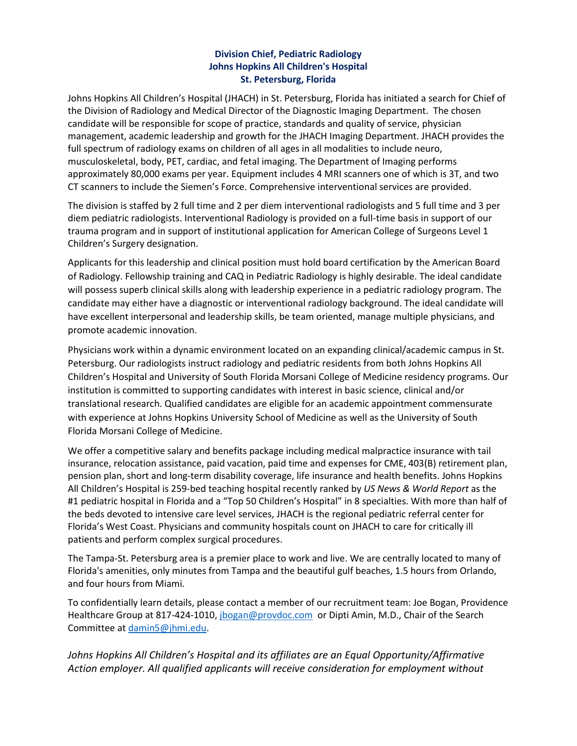## **Division Chief, Pediatric Radiology Johns Hopkins All Children's Hospital St. Petersburg, Florida**

Johns Hopkins All Children's Hospital (JHACH) in St. Petersburg, Florida has initiated a search for Chief of the Division of Radiology and Medical Director of the Diagnostic Imaging Department. The chosen candidate will be responsible for scope of practice, standards and quality of service, physician management, academic leadership and growth for the JHACH Imaging Department. JHACH provides the full spectrum of radiology exams on children of all ages in all modalities to include neuro, musculoskeletal, body, PET, cardiac, and fetal imaging. The Department of Imaging performs approximately 80,000 exams per year. Equipment includes 4 MRI scanners one of which is 3T, and two CT scanners to include the Siemen's Force. Comprehensive interventional services are provided.

The division is staffed by 2 full time and 2 per diem interventional radiologists and 5 full time and 3 per diem pediatric radiologists. Interventional Radiology is provided on a full-time basis in support of our trauma program and in support of institutional application for American College of Surgeons Level 1 Children's Surgery designation.

Applicants for this leadership and clinical position must hold board certification by the American Board of Radiology. Fellowship training and CAQ in Pediatric Radiology is highly desirable. The ideal candidate will possess superb clinical skills along with leadership experience in a pediatric radiology program. The candidate may either have a diagnostic or interventional radiology background. The ideal candidate will have excellent interpersonal and leadership skills, be team oriented, manage multiple physicians, and promote academic innovation.

Physicians work within a dynamic environment located on an expanding clinical/academic campus in St. Petersburg. Our radiologists instruct radiology and pediatric residents from both Johns Hopkins All Children's Hospital and University of South Florida Morsani College of Medicine residency programs. Our institution is committed to supporting candidates with interest in basic science, clinical and/or translational research. Qualified candidates are eligible for an academic appointment commensurate with experience at Johns Hopkins University School of Medicine as well as the University of South Florida Morsani College of Medicine.

We offer a competitive salary and benefits package including medical malpractice insurance with tail insurance, relocation assistance, paid vacation, paid time and expenses for CME, 403(B) retirement plan, pension plan, short and long-term disability coverage, life insurance and health benefits. Johns Hopkins All Children's Hospital is 259-bed teaching hospital recently ranked by *US News & World Report* as the #1 pediatric hospital in Florida and a "Top 50 Children's Hospital" in 8 specialties. With more than half of the beds devoted to intensive care level services, JHACH is the regional pediatric referral center for Florida's West Coast. Physicians and community hospitals count on JHACH to care for critically ill patients and perform complex surgical procedures.

The Tampa-St. Petersburg area is a premier place to work and live. We are centrally located to many of Florida's amenities, only minutes from Tampa and the beautiful gulf beaches, 1.5 hours from Orlando, and four hours from Miami.

To confidentially learn details, please contact a member of our recruitment team: Joe Bogan, Providence Healthcare Group at 817-424-1010, [jbogan@provdoc.com](about:blank) or Dipti Amin, M.D., Chair of the Search Committee at [damin5@jhmi.edu.](about:blank)

*Johns Hopkins All Children's Hospital and its affiliates are an Equal Opportunity/Affirmative Action employer. All qualified applicants will receive consideration for employment without*